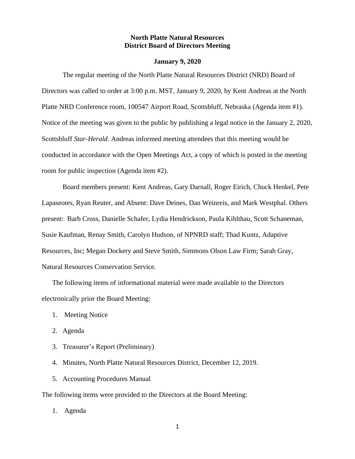## **North Platte Natural Resources District Board of Directors Meeting**

#### **January 9, 2020**

The regular meeting of the North Platte Natural Resources District (NRD) Board of Directors was called to order at 3:00 p.m. MST, January 9, 2020, by Kent Andreas at the North Platte NRD Conference room, 100547 Airport Road, Scottsbluff, Nebraska (Agenda item #1). Notice of the meeting was given to the public by publishing a legal notice in the January 2, 2020, Scottsbluff *Star-Herald*. Andreas informed meeting attendees that this meeting would be conducted in accordance with the Open Meetings Act, a copy of which is posted in the meeting room for public inspection (Agenda item #2).

Board members present: Kent Andreas, Gary Darnall, Roger Eirich, Chuck Henkel, Pete Lapaseotes, Ryan Reuter, and Absent: Dave Deines, Dan Weinreis, and Mark Westphal. Others present: Barb Cross, Danielle Schafer, Lydia Hendrickson, Paula Kihlthau, Scott Schaneman, Susie Kaufman, Renay Smith, Carolyn Hudson, of NPNRD staff; Thad Kuntz, Adaptive Resources, Inc; Megan Dockery and Steve Smith, Simmons Olson Law Firm; Sarah Gray, Natural Resources Conservation Service.

The following items of informational material were made available to the Directors electronically prior the Board Meeting:

- 1. Meeting Notice
- 2. Agenda
- 3. Treasurer's Report (Preliminary)
- 4. Minutes, North Platte Natural Resources District, December 12, 2019.
- 5. Accounting Procedures Manual

The following items were provided to the Directors at the Board Meeting:

1. Agenda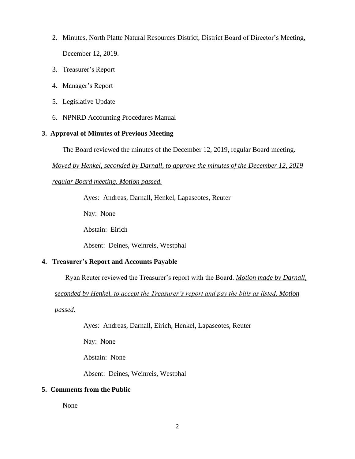- 2. Minutes, North Platte Natural Resources District, District Board of Director's Meeting, December 12, 2019.
- 3. Treasurer's Report
- 4. Manager's Report
- 5. Legislative Update
- 6. NPNRD Accounting Procedures Manual

# **3. Approval of Minutes of Previous Meeting**

The Board reviewed the minutes of the December 12, 2019, regular Board meeting.

*Moved by Henkel, seconded by Darnall, to approve the minutes of the December 12, 2019* 

*regular Board meeting. Motion passed.*

Ayes: Andreas, Darnall, Henkel, Lapaseotes, Reuter

Nay: None

Abstain: Eirich

Absent: Deines, Weinreis, Westphal

# **4. Treasurer's Report and Accounts Payable**

Ryan Reuter reviewed the Treasurer's report with the Board. *Motion made by Darnall,* 

*seconded by Henkel, to accept the Treasurer's report and pay the bills as listed. Motion* 

*passed.*

Ayes: Andreas, Darnall, Eirich, Henkel, Lapaseotes, Reuter

Nay: None

Abstain: None

Absent: Deines, Weinreis, Westphal

# **5. Comments from the Public**

None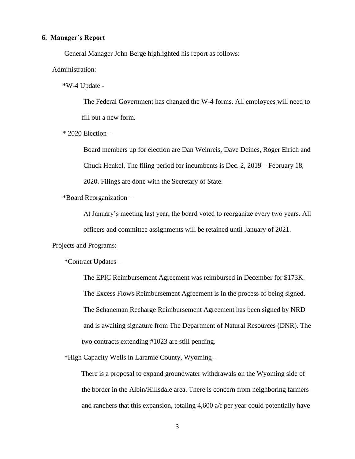#### **6. Manager's Report**

General Manager John Berge highlighted his report as follows:

Administration:

\*W-4 Update -

The Federal Government has changed the W-4 forms. All employees will need to fill out a new form.

\* 2020 Election –

Board members up for election are Dan Weinreis, Dave Deines, Roger Eirich and Chuck Henkel. The filing period for incumbents is Dec. 2, 2019 – February 18, 2020. Filings are done with the Secretary of State.

\*Board Reorganization –

At January's meeting last year, the board voted to reorganize every two years. All

officers and committee assignments will be retained until January of 2021.

Projects and Programs:

\*Contract Updates –

The EPIC Reimbursement Agreement was reimbursed in December for \$173K. The Excess Flows Reimbursement Agreement is in the process of being signed. The Schaneman Recharge Reimbursement Agreement has been signed by NRD and is awaiting signature from The Department of Natural Resources (DNR). The two contracts extending #1023 are still pending.

\*High Capacity Wells in Laramie County, Wyoming –

 There is a proposal to expand groundwater withdrawals on the Wyoming side of the border in the Albin/Hillsdale area. There is concern from neighboring farmers and ranchers that this expansion, totaling 4,600 a/f per year could potentially have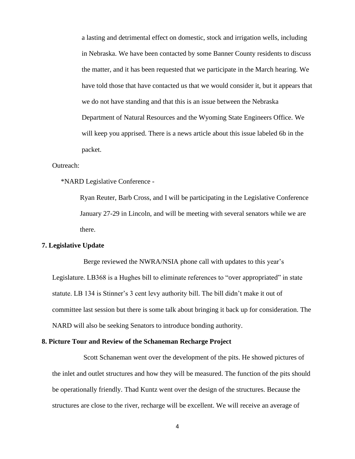a lasting and detrimental effect on domestic, stock and irrigation wells, including in Nebraska. We have been contacted by some Banner County residents to discuss the matter, and it has been requested that we participate in the March hearing. We have told those that have contacted us that we would consider it, but it appears that we do not have standing and that this is an issue between the Nebraska Department of Natural Resources and the Wyoming State Engineers Office. We will keep you apprised. There is a news article about this issue labeled 6b in the packet.

## Outreach:

\*NARD Legislative Conference -

 Ryan Reuter, Barb Cross, and I will be participating in the Legislative Conference January 27-29 in Lincoln, and will be meeting with several senators while we are there.

## **7. Legislative Update**

Berge reviewed the NWRA/NSIA phone call with updates to this year's Legislature. LB368 is a Hughes bill to eliminate references to "over appropriated" in state statute. LB 134 is Stinner's 3 cent levy authority bill. The bill didn't make it out of committee last session but there is some talk about bringing it back up for consideration. The NARD will also be seeking Senators to introduce bonding authority.

#### **8. Picture Tour and Review of the Schaneman Recharge Project**

Scott Schaneman went over the development of the pits. He showed pictures of the inlet and outlet structures and how they will be measured. The function of the pits should be operationally friendly. Thad Kuntz went over the design of the structures. Because the structures are close to the river, recharge will be excellent. We will receive an average of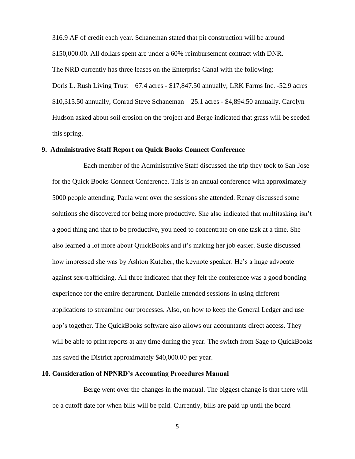316.9 AF of credit each year. Schaneman stated that pit construction will be around \$150,000.00. All dollars spent are under a 60% reimbursement contract with DNR. The NRD currently has three leases on the Enterprise Canal with the following: Doris L. Rush Living Trust – 67.4 acres - \$17,847.50 annually; LRK Farms Inc. -52.9 acres – \$10,315.50 annually, Conrad Steve Schaneman – 25.1 acres - \$4,894.50 annually. Carolyn Hudson asked about soil erosion on the project and Berge indicated that grass will be seeded this spring.

### **9. Administrative Staff Report on Quick Books Connect Conference**

Each member of the Administrative Staff discussed the trip they took to San Jose for the Quick Books Connect Conference. This is an annual conference with approximately 5000 people attending. Paula went over the sessions she attended. Renay discussed some solutions she discovered for being more productive. She also indicated that multitasking isn't a good thing and that to be productive, you need to concentrate on one task at a time. She also learned a lot more about QuickBooks and it's making her job easier. Susie discussed how impressed she was by Ashton Kutcher, the keynote speaker. He's a huge advocate against sex-trafficking. All three indicated that they felt the conference was a good bonding experience for the entire department. Danielle attended sessions in using different applications to streamline our processes. Also, on how to keep the General Ledger and use app's together. The QuickBooks software also allows our accountants direct access. They will be able to print reports at any time during the year. The switch from Sage to QuickBooks has saved the District approximately \$40,000.00 per year.

# **10. Consideration of NPNRD's Accounting Procedures Manual**

Berge went over the changes in the manual. The biggest change is that there will be a cutoff date for when bills will be paid. Currently, bills are paid up until the board

5